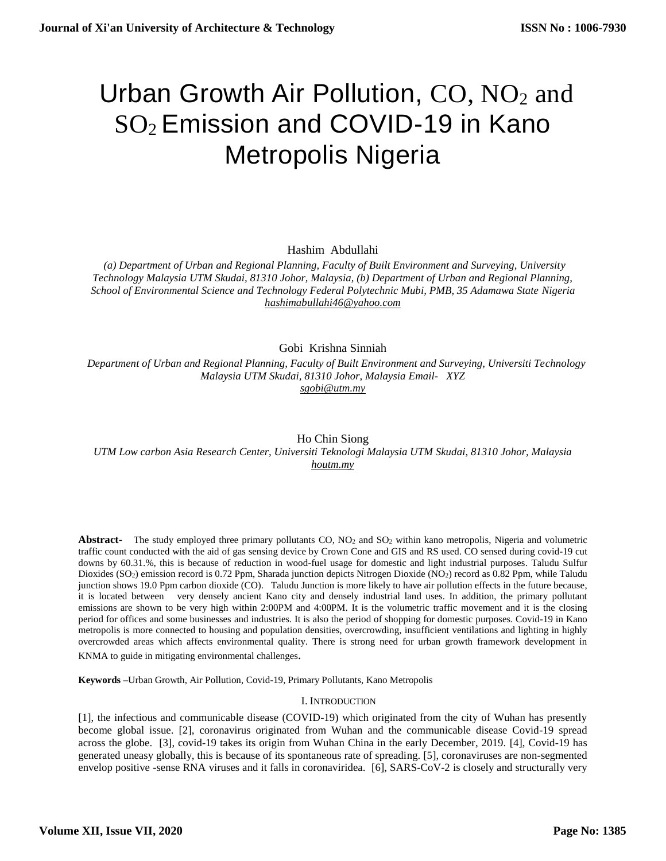# Urban Growth Air Pollution,  $CO$ ,  $NO<sub>2</sub>$  and SO<sup>2</sup> Emission and COVID-19 in Kano Metropolis Nigeria

Hashim Abdullahi

 *(a) Department of Urban and Regional Planning, Faculty of Built Environment and Surveying, University Technology Malaysia UTM Skudai, 81310 Johor, Malaysia, (b) Department of Urban and Regional Planning, School of Environmental Science and Technology Federal Polytechnic Mubi, PMB, 35 Adamawa State Nigeria [hashimabullahi46@yahoo.com](mailto:hashimabullahi46@yahoo.com)*

Gobi Krishna Sinniah

 *Department of Urban and Regional Planning, Faculty of Built Environment and Surveying, Universiti Technology Malaysia UTM Skudai, 81310 Johor, Malaysia [Email- XYZ](mailto:Email-%20%20%20anuradhamit@gmail.com) [sgobi@utm.my](mailto:sgobi@utm.my)*

Ho Chin Siong *UTM Low carbon Asia Research Center, Universiti Teknologi Malaysia UTM Skudai, 81310 Johor, Malaysia [houtm.my](mailto:Email-%20%20%20anuradhamit@gmail.com)*

Abstract- The study employed three primary pollutants CO, NO<sub>2</sub> and SO<sub>2</sub> within kano metropolis, Nigeria and volumetric traffic count conducted with the aid of gas sensing device by Crown Cone and GIS and RS used. CO sensed during covid-19 cut downs by 60.31.%, this is because of reduction in wood-fuel usage for domestic and light industrial purposes. Taludu Sulfur Dioxides (SO2) emission record is 0.72 Ppm, Sharada junction depicts Nitrogen Dioxide (NO2) record as 0.82 Ppm, while Taludu junction shows 19.0 Ppm carbon dioxide (CO). Taludu Junction is more likely to have air pollution effects in the future because, it is located between very densely ancient Kano city and densely industrial land uses. In addition, the primary pollutant emissions are shown to be very high within 2:00PM and 4:00PM. It is the volumetric traffic movement and it is the closing period for offices and some businesses and industries. It is also the period of shopping for domestic purposes. Covid-19 in Kano metropolis is more connected to housing and population densities, overcrowding, insufficient ventilations and lighting in highly overcrowded areas which affects environmental quality. There is strong need for urban growth framework development in KNMA to guide in mitigating environmental challenges.

**Keywords –**Urban Growth, Air Pollution, Covid-19, Primary Pollutants, Kano Metropolis

## I. INTRODUCTION

[1], the infectious and communicable disease (COVID-19) which originated from the city of Wuhan has presently become global issue. [2], coronavirus originated from Wuhan and the communicable disease Covid-19 spread across the globe. [3], covid-19 takes its origin from Wuhan China in the early December, 2019. [4], Covid-19 has generated uneasy globally, this is because of its spontaneous rate of spreading. [5], coronaviruses are non-segmented envelop positive -sense RNA viruses and it falls in coronaviridea. [6], SARS-CoV-2 is closely and structurally very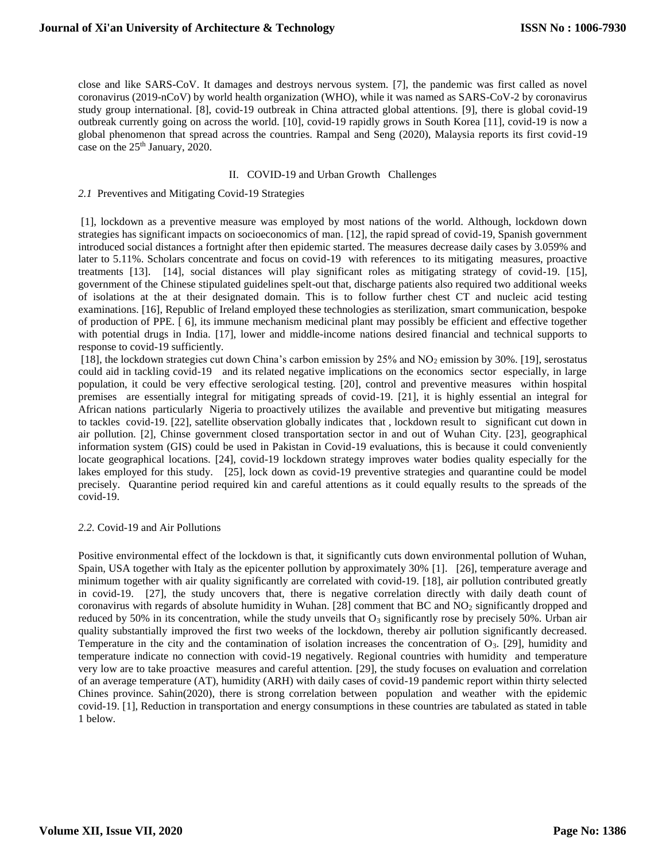close and like SARS-CoV. It damages and destroys nervous system. [7], the pandemic was first called as novel coronavirus (2019-nCoV) by world health organization (WHO), while it was named as SARS-CoV-2 by coronavirus study group international. [8], covid-19 outbreak in China attracted global attentions. [9], there is global covid-19 outbreak currently going on across the world. [10], covid-19 rapidly grows in South Korea [11], covid-19 is now a global phenomenon that spread across the countries. Rampal and Seng (2020), Malaysia reports its first covid-19 case on the  $25<sup>th</sup>$  January, 2020.

## II. COVID-19 and Urban Growth Challenges

#### *2.1* Preventives and Mitigating Covid-19 Strategies

[1], lockdown as a preventive measure was employed by most nations of the world. Although, lockdown down strategies has significant impacts on socioeconomics of man. [12], the rapid spread of covid-19, Spanish government introduced social distances a fortnight after then epidemic started. The measures decrease daily cases by 3.059% and later to 5.11%. Scholars concentrate and focus on covid-19 with references to its mitigating measures, proactive treatments [13]. [14], social distances will play significant roles as mitigating strategy of covid-19. [15], government of the Chinese stipulated guidelines spelt-out that, discharge patients also required two additional weeks of isolations at the at their designated domain. This is to follow further chest CT and nucleic acid testing examinations. [16], Republic of Ireland employed these technologies as sterilization, smart communication, bespoke of production of PPE. [ 6], its immune mechanism medicinal plant may possibly be efficient and effective together with potential drugs in India. [17], lower and middle-income nations desired financial and technical supports to response to covid-19 sufficiently.

[18], the lockdown strategies cut down China's carbon emission by 25% and NO<sub>2</sub> emission by 30%. [19], serostatus could aid in tackling covid-19 and its related negative implications on the economics sector especially, in large population, it could be very effective serological testing. [20], control and preventive measures within hospital premises are essentially integral for mitigating spreads of covid-19. [21], it is highly essential an integral for African nations particularly Nigeria to proactively utilizes the available and preventive but mitigating measures to tackles covid-19. [22], satellite observation globally indicates that , lockdown result to significant cut down in air pollution. [2], Chinse government closed transportation sector in and out of Wuhan City. [23], geographical information system (GIS) could be used in Pakistan in Covid-19 evaluations, this is because it could conveniently locate geographical locations. [24], covid-19 lockdown strategy improves water bodies quality especially for the lakes employed for this study. [25], lock down as covid-19 preventive strategies and quarantine could be model precisely. Quarantine period required kin and careful attentions as it could equally results to the spreads of the covid-19.

## *2.2.* Covid-19 and Air Pollutions

Positive environmental effect of the lockdown is that, it significantly cuts down environmental pollution of Wuhan, Spain, USA together with Italy as the epicenter pollution by approximately 30% [1]. [26], temperature average and minimum together with air quality significantly are correlated with covid-19. [18], air pollution contributed greatly in covid-19. [27], the study uncovers that, there is negative correlation directly with daily death count of coronavirus with regards of absolute humidity in Wuhan. [28] comment that BC and NO<sub>2</sub> significantly dropped and reduced by 50% in its concentration, while the study unveils that  $O<sub>3</sub>$  significantly rose by precisely 50%. Urban air quality substantially improved the first two weeks of the lockdown, thereby air pollution significantly decreased. Temperature in the city and the contamination of isolation increases the concentration of O3. [29], humidity and temperature indicate no connection with covid-19 negatively. Regional countries with humidity and temperature very low are to take proactive measures and careful attention. [29], the study focuses on evaluation and correlation of an average temperature (AT), humidity (ARH) with daily cases of covid-19 pandemic report within thirty selected Chines province. Sahin(2020), there is strong correlation between population and weather with the epidemic covid-19. [1], Reduction in transportation and energy consumptions in these countries are tabulated as stated in table 1 below.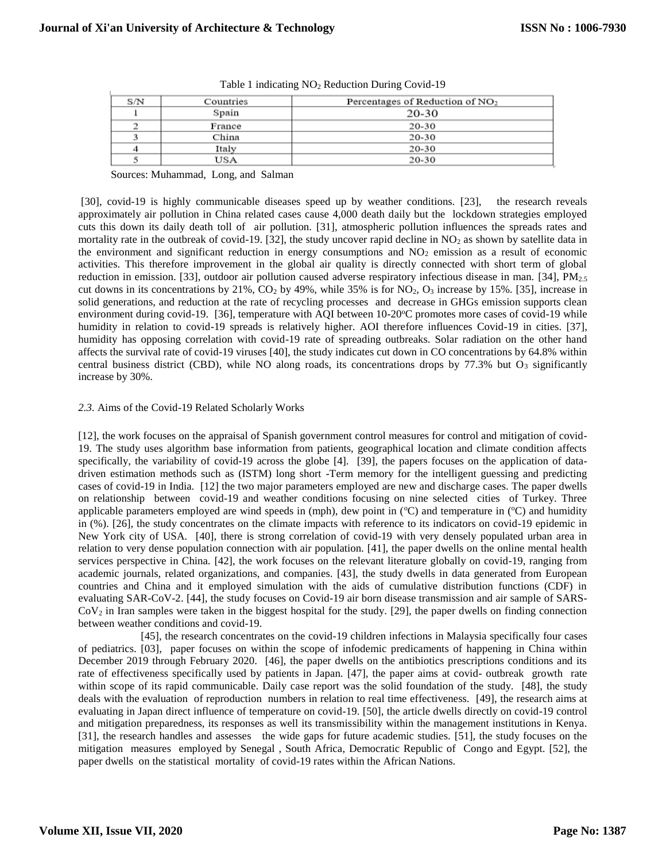| S/N | Countries | Percentages of Reduction of $NO2$ |
|-----|-----------|-----------------------------------|
|     | Spain     | 20-30                             |
|     | France    | 20-30                             |
|     | China     | 20-30                             |
|     | Italy     | 20-30                             |
|     | USA       | 20-30                             |

|  |  |  |  |  |  | Table 1 indicating NO <sub>2</sub> Reduction During Covid-19 |
|--|--|--|--|--|--|--------------------------------------------------------------|
|--|--|--|--|--|--|--------------------------------------------------------------|

Sources: Muhammad, Long, and Salman

[30], covid-19 is highly communicable diseases speed up by weather conditions. [23], the research reveals approximately air pollution in China related cases cause 4,000 death daily but the lockdown strategies employed cuts this down its daily death toll of air pollution. [31], atmospheric pollution influences the spreads rates and mortality rate in the outbreak of covid-19. [32], the study uncover rapid decline in  $NO<sub>2</sub>$  as shown by satellite data in the environment and significant reduction in energy consumptions and  $NO<sub>2</sub>$  emission as a result of economic activities. This therefore improvement in the global air quality is directly connected with short term of global reduction in emission. [33], outdoor air pollution caused adverse respiratory infectious disease in man. [34], PM<sub>2.5</sub> cut downs in its concentrations by 21%,  $CO<sub>2</sub>$  by 49%, while 35% is for NO<sub>2</sub>, O<sub>3</sub> increase by 15%. [35], increase in solid generations, and reduction at the rate of recycling processes and decrease in GHGs emission supports clean environment during covid-19. [36], temperature with AQI between 10-20°C promotes more cases of covid-19 while humidity in relation to covid-19 spreads is relatively higher. AOI therefore influences Covid-19 in cities. [37], humidity has opposing correlation with covid-19 rate of spreading outbreaks. Solar radiation on the other hand affects the survival rate of covid-19 viruses [40], the study indicates cut down in CO concentrations by 64.8% within central business district (CBD), while NO along roads, its concentrations drops by  $77.3\%$  but O<sub>3</sub> significantly increase by 30%.

## *2.3.* Aims of the Covid-19 Related Scholarly Works

[12], the work focuses on the appraisal of Spanish government control measures for control and mitigation of covid-19. The study uses algorithm base information from patients, geographical location and climate condition affects specifically, the variability of covid-19 across the globe [4]. [39], the papers focuses on the application of datadriven estimation methods such as (ISTM) long short -Term memory for the intelligent guessing and predicting cases of covid-19 in India. [12] the two major parameters employed are new and discharge cases. The paper dwells on relationship between covid-19 and weather conditions focusing on nine selected cities of Turkey. Three applicable parameters employed are wind speeds in (mph), dew point in  $({}^{\circ}C)$  and temperature in  $({}^{\circ}C)$  and humidity in (%). [26], the study concentrates on the climate impacts with reference to its indicators on covid-19 epidemic in New York city of USA. [40], there is strong correlation of covid-19 with very densely populated urban area in relation to very dense population connection with air population. [41], the paper dwells on the online mental health services perspective in China. [42], the work focuses on the relevant literature globally on covid-19, ranging from academic journals, related organizations, and companies. [43], the study dwells in data generated from European countries and China and it employed simulation with the aids of cumulative distribution functions (CDF) in evaluating SAR-CoV-2. [44], the study focuses on Covid-19 air born disease transmission and air sample of SARS- $Cov<sub>2</sub>$  in Iran samples were taken in the biggest hospital for the study. [29], the paper dwells on finding connection between weather conditions and covid-19.

 [45], the research concentrates on the covid-19 children infections in Malaysia specifically four cases of pediatrics. [03], paper focuses on within the scope of infodemic predicaments of happening in China within December 2019 through February 2020. [46], the paper dwells on the antibiotics prescriptions conditions and its rate of effectiveness specifically used by patients in Japan. [47], the paper aims at covid- outbreak growth rate within scope of its rapid communicable. Daily case report was the solid foundation of the study. [48], the study deals with the evaluation of reproduction numbers in relation to real time effectiveness. [49], the research aims at evaluating in Japan direct influence of temperature on covid-19. [50], the article dwells directly on covid-19 control and mitigation preparedness, its responses as well its transmissibility within the management institutions in Kenya. [31], the research handles and assesses the wide gaps for future academic studies. [51], the study focuses on the mitigation measures employed by Senegal , South Africa, Democratic Republic of Congo and Egypt. [52], the paper dwells on the statistical mortality of covid-19 rates within the African Nations.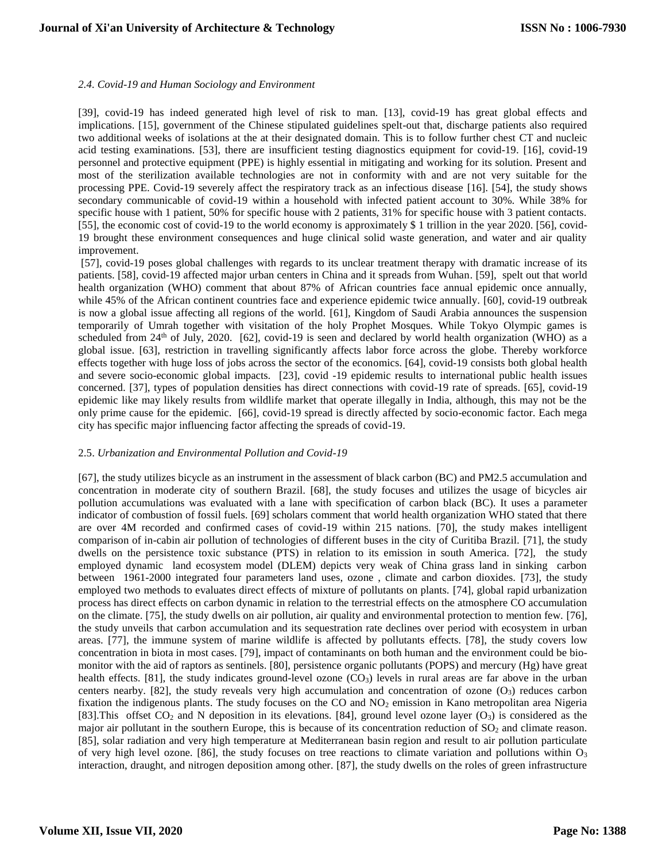## *2.4. Covid-19 and Human Sociology and Environment*

[39], covid-19 has indeed generated high level of risk to man. [13], covid-19 has great global effects and implications. [15], government of the Chinese stipulated guidelines spelt-out that, discharge patients also required two additional weeks of isolations at the at their designated domain. This is to follow further chest CT and nucleic acid testing examinations. [53], there are insufficient testing diagnostics equipment for covid-19. [16], covid-19 personnel and protective equipment (PPE) is highly essential in mitigating and working for its solution. Present and most of the sterilization available technologies are not in conformity with and are not very suitable for the processing PPE. Covid-19 severely affect the respiratory track as an infectious disease [16]. [54], the study shows secondary communicable of covid-19 within a household with infected patient account to 30%. While 38% for specific house with 1 patient, 50% for specific house with 2 patients, 31% for specific house with 3 patient contacts. [55], the economic cost of covid-19 to the world economy is approximately \$ 1 trillion in the year 2020. [56], covid-19 brought these environment consequences and huge clinical solid waste generation, and water and air quality improvement.

[57], covid-19 poses global challenges with regards to its unclear treatment therapy with dramatic increase of its patients. [58], covid-19 affected major urban centers in China and it spreads from Wuhan. [59], spelt out that world health organization (WHO) comment that about 87% of African countries face annual epidemic once annually, while 45% of the African continent countries face and experience epidemic twice annually. [60], covid-19 outbreak is now a global issue affecting all regions of the world. [61], Kingdom of Saudi Arabia announces the suspension temporarily of Umrah together with visitation of the holy Prophet Mosques. While Tokyo Olympic games is scheduled from 24<sup>th</sup> of July, 2020. [62], covid-19 is seen and declared by world health organization (WHO) as a global issue. [63], restriction in travelling significantly affects labor force across the globe. Thereby workforce effects together with huge loss of jobs across the sector of the economics. [64], covid-19 consists both global health and severe socio-economic global impacts. [23], covid -19 epidemic results to international public health issues concerned. [37], types of population densities has direct connections with covid-19 rate of spreads. [65], covid-19 epidemic like may likely results from wildlife market that operate illegally in India, although, this may not be the only prime cause for the epidemic. [66], covid-19 spread is directly affected by socio-economic factor. Each mega city has specific major influencing factor affecting the spreads of covid-19.

## 2.5. *Urbanization and Environmental Pollution and Covid-19*

[67], the study utilizes bicycle as an instrument in the assessment of black carbon (BC) and PM2.5 accumulation and concentration in moderate city of southern Brazil. [68], the study focuses and utilizes the usage of bicycles air pollution accumulations was evaluated with a lane with specification of carbon black (BC). It uses a parameter indicator of combustion of fossil fuels. [69] scholars comment that world health organization WHO stated that there are over 4M recorded and confirmed cases of covid-19 within 215 nations. [70], the study makes intelligent comparison of in-cabin air pollution of technologies of different buses in the city of Curitiba Brazil. [71], the study dwells on the persistence toxic substance (PTS) in relation to its emission in south America. [72], the study employed dynamic land ecosystem model (DLEM) depicts very weak of China grass land in sinking carbon between 1961-2000 integrated four parameters land uses, ozone , climate and carbon dioxides. [73], the study employed two methods to evaluates direct effects of mixture of pollutants on plants. [74], global rapid urbanization process has direct effects on carbon dynamic in relation to the terrestrial effects on the atmosphere CO accumulation on the climate. [75], the study dwells on air pollution, air quality and environmental protection to mention few. [76], the study unveils that carbon accumulation and its sequestration rate declines over period with ecosystem in urban areas. [77], the immune system of marine wildlife is affected by pollutants effects. [78], the study covers low concentration in biota in most cases. [79], impact of contaminants on both human and the environment could be biomonitor with the aid of raptors as sentinels. [80], persistence organic pollutants (POPS) and mercury (Hg) have great health effects. [81], the study indicates ground-level ozone  $(CO_3)$  levels in rural areas are far above in the urban centers nearby. [82], the study reveals very high accumulation and concentration of ozone  $(O_3)$  reduces carbon fixation the indigenous plants. The study focuses on the CO and  $NO<sub>2</sub>$  emission in Kano metropolitan area Nigeria [83].This offset  $CO_2$  and N deposition in its elevations. [84], ground level ozone layer  $(O_3)$  is considered as the major air pollutant in the southern Europe, this is because of its concentration reduction of  $SO<sub>2</sub>$  and climate reason. [85], solar radiation and very high temperature at Mediterranean basin region and result to air pollution particulate of very high level ozone. [86], the study focuses on tree reactions to climate variation and pollutions within  $O_3$ interaction, draught, and nitrogen deposition among other. [87], the study dwells on the roles of green infrastructure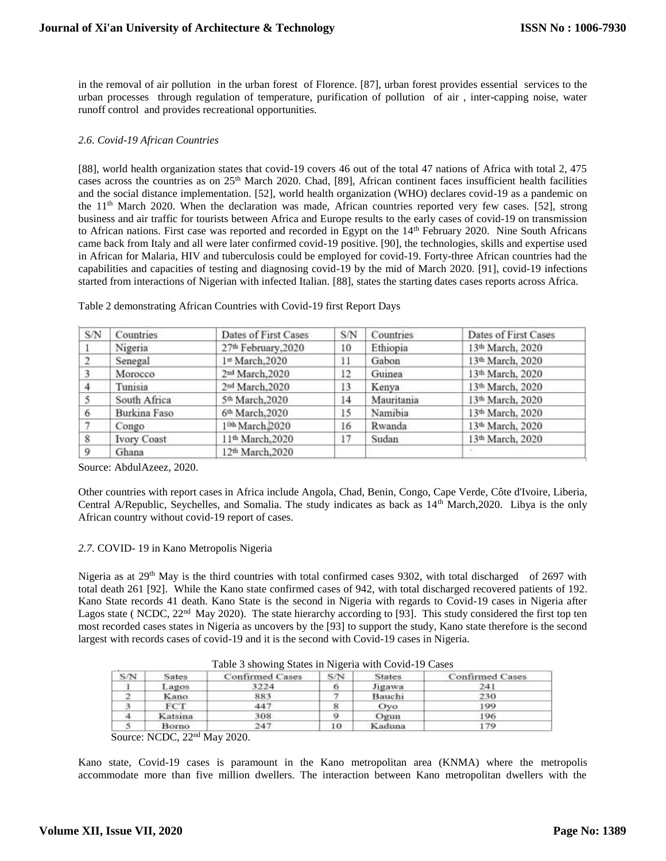in the removal of air pollution in the urban forest of Florence. [87], urban forest provides essential services to the urban processes through regulation of temperature, purification of pollution of air , inter-capping noise, water runoff control and provides recreational opportunities.

## *2.6. Covid-19 African Countries*

[88], world health organization states that covid-19 covers 46 out of the total 47 nations of Africa with total 2, 475 cases across the countries as on 25th March 2020. Chad, [89], African continent faces insufficient health facilities and the social distance implementation. [52], world health organization (WHO) declares covid-19 as a pandemic on the 11<sup>th</sup> March 2020. When the declaration was made, African countries reported very few cases. [52], strong business and air traffic for tourists between Africa and Europe results to the early cases of covid-19 on transmission to African nations. First case was reported and recorded in Egypt on the 14<sup>th</sup> February 2020. Nine South Africans came back from Italy and all were later confirmed covid-19 positive. [90], the technologies, skills and expertise used in African for Malaria, HIV and tuberculosis could be employed for covid-19. Forty-three African countries had the capabilities and capacities of testing and diagnosing covid-19 by the mid of March 2020. [91], covid-19 infections started from interactions of Nigerian with infected Italian. [88], states the starting dates cases reports across Africa.

| S/N | Countries          | Dates of First Cases         | S/N | Countries  | Dates of First Cases         |
|-----|--------------------|------------------------------|-----|------------|------------------------------|
|     | Nigeria            | 27th February, 2020          | 10  | Ethiopia   | 13 <sup>th</sup> March, 2020 |
| 2   | Senegal            | 1st March, 2020              | 11  | Gabon      | 13 <sup>th</sup> March, 2020 |
|     | Morocco            | 2 <sup>nd</sup> March, 2020  | 12  | Guinea     | 13 <sup>th</sup> March, 2020 |
|     | Tunisia            | 2nd March, 2020              | 13  | Kenya      | 13th March, 2020             |
|     | South Africa       | 5th March, 2020              | 14  | Mauritania | 13th March, 2020             |
|     | Burkina Faso       | 6th March, 2020              | 15  | Namibia    | 13th March, 2020             |
|     | Congo              | 1 <sup>0th</sup> March, 2020 | 16  | Rwanda     | 13 <sup>th</sup> March, 2020 |
| 8   | <b>Ivory Coast</b> | 11 <sup>th</sup> March, 2020 | 17  | Sudan      | 13 <sup>th</sup> March, 2020 |
| 9   | Ghana              | 12 <sup>th</sup> March, 2020 |     |            |                              |

## Table 2 demonstrating African Countries with Covid-19 first Report Days

Source: AbdulAzeez, 2020.

Other countries with report cases in Africa include Angola, Chad, Benin, Congo, Cape Verde, Côte d'Ivoire, Liberia, Central A/Republic, Seychelles, and Somalia. The study indicates as back as 14th March,2020. Libya is the only African country without covid-19 report of cases.

## *2.7.* COVID- 19 in Kano Metropolis Nigeria

Nigeria as at 29<sup>th</sup> May is the third countries with total confirmed cases 9302, with total discharged of 2697 with total death 261 [92]. While the Kano state confirmed cases of 942, with total discharged recovered patients of 192. Kano State records 41 death. Kano State is the second in Nigeria with regards to Covid-19 cases in Nigeria after Lagos state ( NCDC, 22<sup>nd</sup> May 2020). The state hierarchy according to [93]. This study considered the first top ten most recorded cases states in Nigeria as uncovers by the [93] to support the study, Kano state therefore is the second largest with records cases of covid-19 and it is the second with Covid-19 cases in Nigeria.

| S/N | <b>Sates</b> | <b>Confirmed Cases</b> | S/N | <b>States</b> | <b>Confirmed Cases</b> |
|-----|--------------|------------------------|-----|---------------|------------------------|
|     | Lagos        | 3224                   | o   | Jigawa        | 241                    |
|     | <b>Kano</b>  | 883                    |     | Bauchi        | 230                    |
| - 3 | <b>FCT</b>   | 447                    |     | Ovo           | 199                    |
|     | Katsina      | 308                    |     | Ogun          | 196                    |
|     | Borno        | 247                    | 10  | Kaduna        | 179                    |

Table 3 showing States in Nigeria with Covid-19 Cases

Source: NCDC, 22nd May 2020.

Kano state, Covid-19 cases is paramount in the Kano metropolitan area (KNMA) where the metropolis accommodate more than five million dwellers. The interaction between Kano metropolitan dwellers with the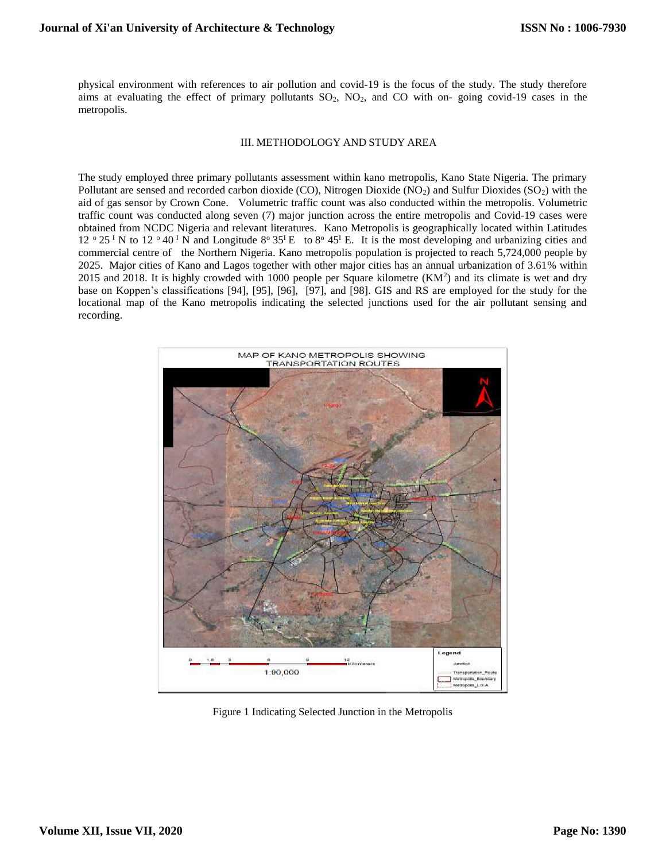physical environment with references to air pollution and covid-19 is the focus of the study. The study therefore aims at evaluating the effect of primary pollutants  $SO_2$ ,  $NO_2$ , and  $CO$  with on- going covid-19 cases in the metropolis.

#### III. METHODOLOGY AND STUDY AREA

The study employed three primary pollutants assessment within kano metropolis, Kano State Nigeria. The primary Pollutant are sensed and recorded carbon dioxide (CO), Nitrogen Dioxide (NO<sub>2</sub>) and Sulfur Dioxides (SO<sub>2</sub>) with the aid of gas sensor by Crown Cone. Volumetric traffic count was also conducted within the metropolis. Volumetric traffic count was conducted along seven (7) major junction across the entire metropolis and Covid-19 cases were obtained from NCDC Nigeria and relevant literatures. Kano Metropolis is geographically located within Latitudes  $12^{\circ}25^{\circ}$  N to  $12^{\circ}40^{\circ}$  N and Longitude  $8^{\circ}35^{\circ}$  E to  $8^{\circ}45^{\circ}$  E. It is the most developing and urbanizing cities and commercial centre of the Northern Nigeria. Kano metropolis population is projected to reach 5,724,000 people by 2025. Major cities of Kano and Lagos together with other major cities has an annual urbanization of 3.61% within  $2015$  and  $2018$ . It is highly crowded with 1000 people per Square kilometre  $(KM<sup>2</sup>)$  and its climate is wet and dry base on Koppen's classifications [94], [95], [96], [97], and [98]. GIS and RS are employed for the study for the locational map of the Kano metropolis indicating the selected junctions used for the air pollutant sensing and recording.



Figure 1 Indicating Selected Junction in the Metropolis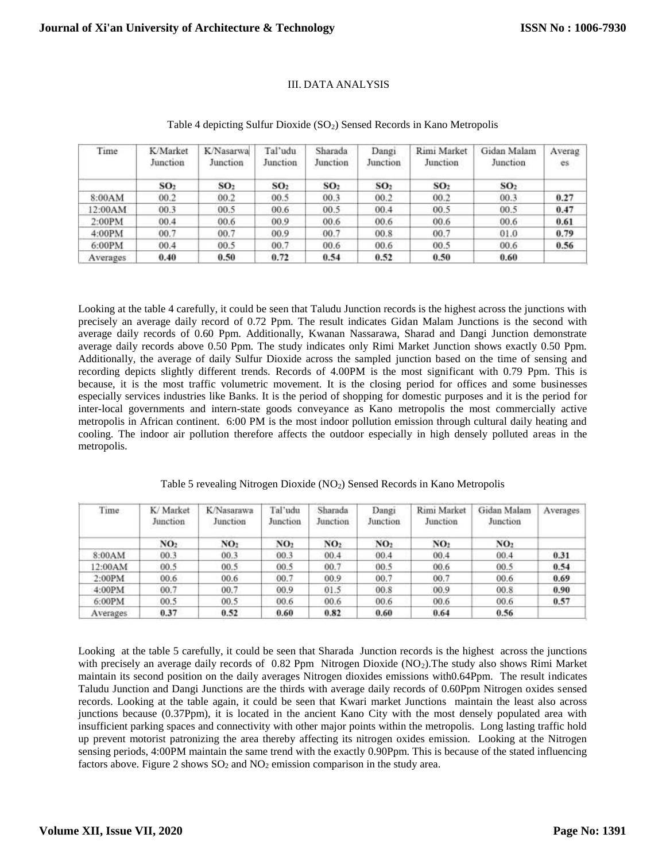## III. DATA ANALYSIS

| Time     | <b>K/Market</b><br>Junction | K/Nasarwa<br>Junction | Tal'udu<br>Junction | Sharada<br>Junction | Dangi<br>Junction | Rimi Market<br>Junction | Gidan Malam<br>Junction | Averag<br>es. |
|----------|-----------------------------|-----------------------|---------------------|---------------------|-------------------|-------------------------|-------------------------|---------------|
|          | SO <sub>2</sub>             | SO <sub>2</sub>       | SO <sub>2</sub>     | SO <sub>2</sub>     | SO <sub>2</sub>   | SO <sub>2</sub>         | SO <sub>2</sub>         |               |
| 8:00AM   | 00.2                        | 00.2                  | 00.5                | 00.3                | 00.2              | 00.2                    | 00.3                    | 0.27          |
| 12:00AM  | 00.3                        | 00.5                  | 00.6                | 00.5                | 00.4              | 00.5                    | 00.5                    | 0.47          |
| 2:00PM   | 00.4                        | 00.6                  | 00.9                | 00.6                | 00.6              | 00.6                    | 00.6                    | 0.61          |
| 4:00PM   | 00.7                        | 00.7                  | 00.9                | 00.7                | 00.8              | 00.7                    | 01.0                    | 0.79          |
| 6:00PM   | 00.4                        | 00.5                  | 00.7                | 00.6                | 00.6              | 00.5                    | 00.6                    | 0.56          |
| Averages | 0.40                        | 0.50                  | 0.72                | 0.54                | 0.52              | 0.50                    | 0.60                    |               |

## Table 4 depicting Sulfur Dioxide (SO<sub>2</sub>) Sensed Records in Kano Metropolis

Looking at the table 4 carefully, it could be seen that Taludu Junction records is the highest across the junctions with precisely an average daily record of 0.72 Ppm. The result indicates Gidan Malam Junctions is the second with average daily records of 0.60 Ppm. Additionally, Kwanan Nassarawa, Sharad and Dangi Junction demonstrate average daily records above 0.50 Ppm. The study indicates only Rimi Market Junction shows exactly 0.50 Ppm. Additionally, the average of daily Sulfur Dioxide across the sampled junction based on the time of sensing and recording depicts slightly different trends. Records of 4.00PM is the most significant with 0.79 Ppm. This is because, it is the most traffic volumetric movement. It is the closing period for offices and some businesses especially services industries like Banks. It is the period of shopping for domestic purposes and it is the period for inter-local governments and intern-state goods conveyance as Kano metropolis the most commercially active metropolis in African continent. 6:00 PM is the most indoor pollution emission through cultural daily heating and cooling. The indoor air pollution therefore affects the outdoor especially in high densely polluted areas in the metropolis.

| Time     | K/Market<br>Junction<br>press and contact the project | K/Nasarawa<br>Junction | Tal'udu<br>Junction | Sharada<br>Junction | Dangi<br>Junction | Rimi Market<br>Junction | Gidan Malam<br>Junction | Averages. |
|----------|-------------------------------------------------------|------------------------|---------------------|---------------------|-------------------|-------------------------|-------------------------|-----------|
|          | NO <sub>2</sub>                                       | NO <sub>2</sub>        | NO <sub>2</sub>     | NO <sub>2</sub>     | NO <sub>2</sub>   | NO2                     | NO <sub>2</sub>         |           |
| 8:00AM   | 00.3                                                  | 00.3                   | 00.3                | 00.4                | 00.4              | 00.4                    | 00.4                    | 0.31      |
| 12:00AM  | 00.5                                                  | 00.5                   | 00.5                | 00.7                | 00.5              | 00.6                    | 00.5                    | 0.54      |
| 2:00PM   | 00.6                                                  | 00.6                   | 00.7                | 00.9                | 00.7              | 00.7                    | 00.6                    | 0.69      |
| 4:00PM   | 00.7                                                  | 00.7                   | 00.9                | 01.5                | 00.8              | 00.9                    | 00.8                    | 0.90      |
| 6:00PM   | 00.5                                                  | 00.5                   | 00.6                | 00.6                | 00.6              | 00.6                    | 00.6                    | 0.57      |
| Averages | 0.37                                                  | 0.52                   | 0.60                | 0.82                | 0.60              | 0.64                    | 0.56                    |           |

Table 5 revealing Nitrogen Dioxide (NO2) Sensed Records in Kano Metropolis

Looking at the table 5 carefully, it could be seen that Sharada Junction records is the highest across the junctions with precisely an average daily records of 0.82 Ppm Nitrogen Dioxide (NO2). The study also shows Rimi Market maintain its second position on the daily averages Nitrogen dioxides emissions with0.64Ppm. The result indicates Taludu Junction and Dangi Junctions are the thirds with average daily records of 0.60Ppm Nitrogen oxides sensed records. Looking at the table again, it could be seen that Kwari market Junctions maintain the least also across junctions because (0.37Ppm), it is located in the ancient Kano City with the most densely populated area with insufficient parking spaces and connectivity with other major points within the metropolis. Long lasting traffic hold up prevent motorist patronizing the area thereby affecting its nitrogen oxides emission. Looking at the Nitrogen sensing periods, 4:00PM maintain the same trend with the exactly 0.90Ppm. This is because of the stated influencing factors above. Figure 2 shows  $SO_2$  and  $NO_2$  emission comparison in the study area.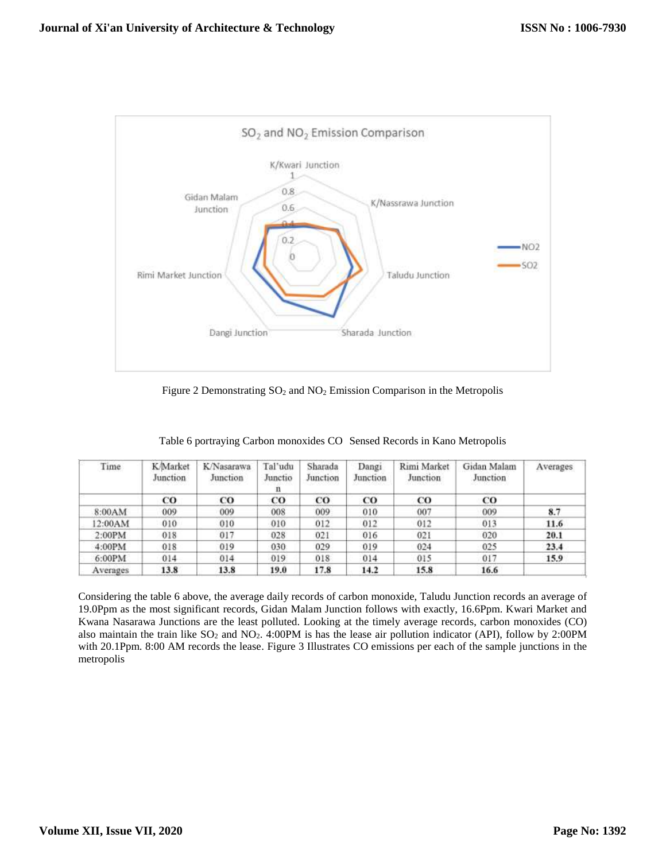

Figure 2 Demonstrating  $SO_2$  and  $NO_2$  Emission Comparison in the Metropolis

| Time     | <b>K</b> Market<br>Junction | K/Nasarawa<br>Junction | Tal'udu<br>Junctio<br>n | Sharada<br>Junction | Dangi<br>Junction | Rimi Market<br>Junction | Gidan Malam<br>Junction | Averages |
|----------|-----------------------------|------------------------|-------------------------|---------------------|-------------------|-------------------------|-------------------------|----------|
|          | CO.                         | $_{\rm CO}$            | CO                      | $_{\rm co}$         | CO                | CO                      | <b>CO</b>               |          |
| 8:00AM   | 009                         | 009                    | 008                     | 009                 | 010               | 007                     | 009                     | 8.7      |
| 12:00AM  | 010                         | 010                    | 010                     | 012                 | 012               | 012                     | 013                     | 11.6     |
| 2:00PM   | 018                         | 017                    | 028                     | 021                 | 016               | 021                     | 020                     | 20.1     |
| 4:00PM   | 018                         | 019                    | 030                     | 029                 | 019               | 024                     | 025                     | 23.4     |
| 6:00PM   | 014                         | 014                    | 019                     | 018                 | 014               | 015                     | 017                     | 15.9     |
| Averages | 13.8                        | 13.8                   | 19.0                    | 17.8                | 14.2              | 15.8                    | 16.6                    |          |

Table 6 portraying Carbon monoxides CO Sensed Records in Kano Metropolis

Considering the table 6 above, the average daily records of carbon monoxide, Taludu Junction records an average of 19.0Ppm as the most significant records, Gidan Malam Junction follows with exactly, 16.6Ppm. Kwari Market and Kwana Nasarawa Junctions are the least polluted. Looking at the timely average records, carbon monoxides (CO) also maintain the train like  $SO_2$  and  $NO_2$ . 4:00PM is has the lease air pollution indicator (API), follow by 2:00PM with 20.1Ppm. 8:00 AM records the lease. Figure 3 Illustrates CO emissions per each of the sample junctions in the metropolis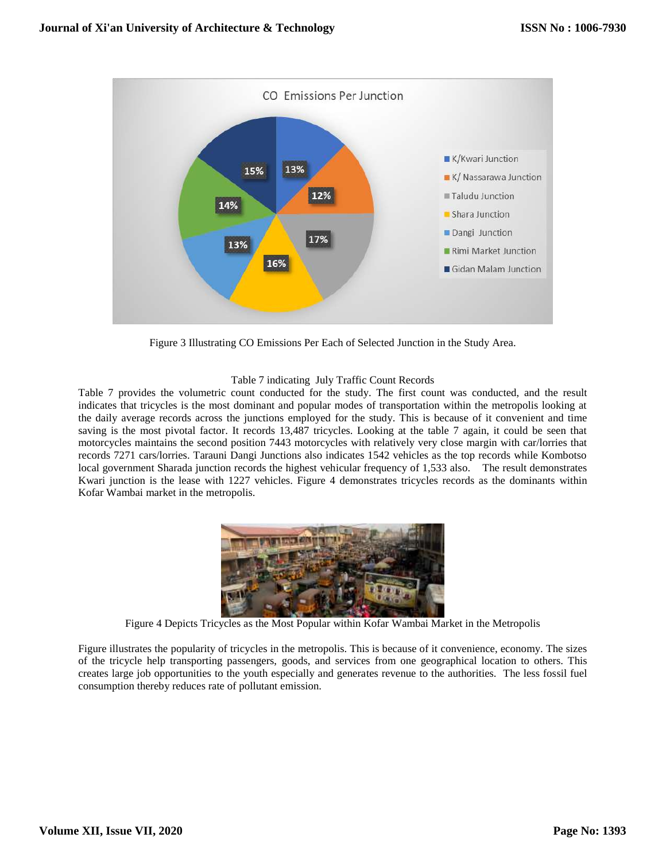

Figure 3 Illustrating CO Emissions Per Each of Selected Junction in the Study Area.

# Table 7 indicating July Traffic Count Records

Table 7 provides the volumetric count conducted for the study. The first count was conducted, and the result indicates that tricycles is the most dominant and popular modes of transportation within the metropolis looking at the daily average records across the junctions employed for the study. This is because of it convenient and time saving is the most pivotal factor. It records 13,487 tricycles. Looking at the table 7 again, it could be seen that motorcycles maintains the second position 7443 motorcycles with relatively very close margin with car/lorries that records 7271 cars/lorries. Tarauni Dangi Junctions also indicates 1542 vehicles as the top records while Kombotso local government Sharada junction records the highest vehicular frequency of 1,533 also. The result demonstrates Kwari junction is the lease with 1227 vehicles. Figure 4 demonstrates tricycles records as the dominants within Kofar Wambai market in the metropolis.



Figure 4 Depicts Tricycles as the Most Popular within Kofar Wambai Market in the Metropolis

Figure illustrates the popularity of tricycles in the metropolis. This is because of it convenience, economy. The sizes of the tricycle help transporting passengers, goods, and services from one geographical location to others. This creates large job opportunities to the youth especially and generates revenue to the authorities. The less fossil fuel consumption thereby reduces rate of pollutant emission.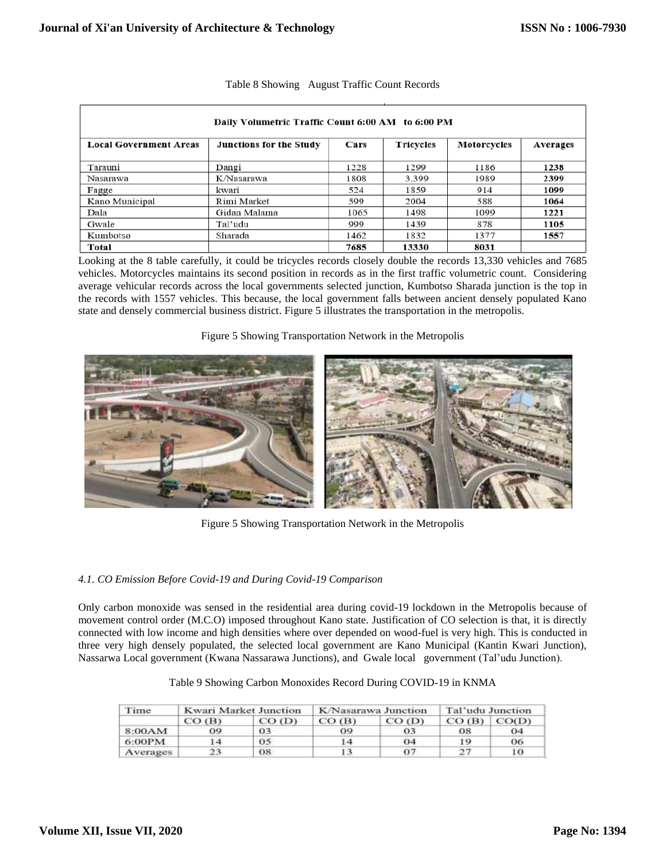| Daily Volumetric Traffic Count 6:00 AM to 6:00 PM |                         |      |                  |                    |                 |  |
|---------------------------------------------------|-------------------------|------|------------------|--------------------|-----------------|--|
| <b>Local Government Areas</b>                     | Junctions for the Study | Cars | <b>Tricycles</b> | <b>Motorcycles</b> | <b>Averages</b> |  |
| Tarauni                                           | Dangi                   | 1228 | 1299             | 1186               | 1238            |  |
| Nasarawa                                          | K/Nasarawa              | 1808 | 3,399            | 1989               | 2399            |  |
| Fagge                                             | kwari                   | 524  | 1859             | 914                | 1099            |  |
| Kano Municipal                                    | Rimi Market             | 599  | 2004             | 588                | 1064            |  |
| Dala                                              | Gidan Malama            | 1065 | 1498             | 1099               | 1221            |  |
| Gwale                                             | Tal'udu                 | 999  | 1439             | 878                | 1105            |  |
| Kumbotso                                          | Sharada                 | 1462 | 1832             | 1377               | 1557            |  |
| Total                                             |                         | 7685 | 13330            | 8031               |                 |  |

| Table 8 Showing August Traffic Count Records |
|----------------------------------------------|
|                                              |

Looking at the 8 table carefully, it could be tricycles records closely double the records 13,330 vehicles and 7685 vehicles. Motorcycles maintains its second position in records as in the first traffic volumetric count. Considering average vehicular records across the local governments selected junction, Kumbotso Sharada junction is the top in the records with 1557 vehicles. This because, the local government falls between ancient densely populated Kano state and densely commercial business district. Figure 5 illustrates the transportation in the metropolis.

Figure 5 Showing Transportation Network in the Metropolis



Figure 5 Showing Transportation Network in the Metropolis

## *4.1. CO Emission Before Covid-19 and During Covid-19 Comparison*

Only carbon monoxide was sensed in the residential area during covid-19 lockdown in the Metropolis because of movement control order (M.C.O) imposed throughout Kano state. Justification of CO selection is that, it is directly connected with low income and high densities where over depended on wood-fuel is very high. This is conducted in three very high densely populated, the selected local government are Kano Municipal (Kantin Kwari Junction), Nassarwa Local government (Kwana Nassarawa Junctions), and Gwale local government (Tal'udu Junction).

| Time     | Kwari Market Junction |          |          | K/Nasarawa Junction | Tal'udu Junction |       |
|----------|-----------------------|----------|----------|---------------------|------------------|-------|
|          | $CO$ (B)              | $CO$ (D) | $CO$ (B) | $CO$ (D)            | $CO$ (B)         | CO(D) |
| 8:00AM   | 09.                   | 03       | 09       | 03                  | 08               | 04    |
| 6:00PM   |                       | 05       | l 4      | 04                  | 19               | 06    |
| Averages | 23                    | 08       |          | 07                  | 27               | 10    |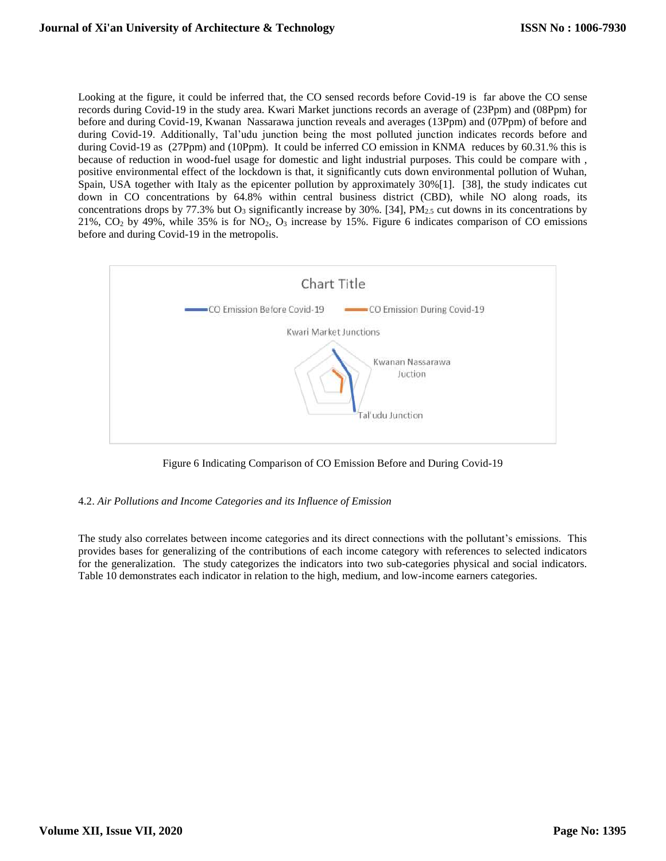Looking at the figure, it could be inferred that, the CO sensed records before Covid-19 is far above the CO sense records during Covid-19 in the study area. Kwari Market junctions records an average of (23Ppm) and (08Ppm) for before and during Covid-19, Kwanan Nassarawa junction reveals and averages (13Ppm) and (07Ppm) of before and during Covid-19. Additionally, Tal'udu junction being the most polluted junction indicates records before and during Covid-19 as (27Ppm) and (10Ppm). It could be inferred CO emission in KNMA reduces by 60.31.% this is because of reduction in wood-fuel usage for domestic and light industrial purposes. This could be compare with , positive environmental effect of the lockdown is that, it significantly cuts down environmental pollution of Wuhan, Spain, USA together with Italy as the epicenter pollution by approximately 30%[1]. [38], the study indicates cut down in CO concentrations by 64.8% within central business district (CBD), while NO along roads, its concentrations drops by 77.3% but  $O_3$  significantly increase by 30%. [34], PM<sub>2.5</sub> cut downs in its concentrations by 21%,  $CO<sub>2</sub>$  by 49%, while 35% is for  $NO<sub>2</sub>$ ,  $O<sub>3</sub>$  increase by 15%. Figure 6 indicates comparison of CO emissions before and during Covid-19 in the metropolis.



Figure 6 Indicating Comparison of CO Emission Before and During Covid-19

4.2. *Air Pollutions and Income Categories and its Influence of Emission*

The study also correlates between income categories and its direct connections with the pollutant's emissions. This provides bases for generalizing of the contributions of each income category with references to selected indicators for the generalization. The study categorizes the indicators into two sub-categories physical and social indicators. Table 10 demonstrates each indicator in relation to the high, medium, and low-income earners categories.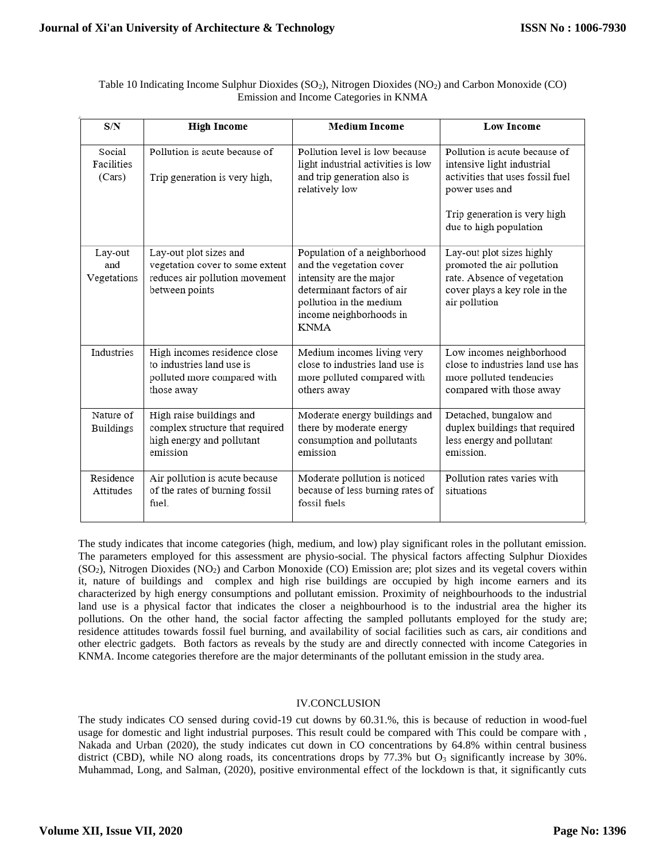| Table 10 Indicating Income Sulphur Dioxides ( $SO_2$ ), Nitrogen Dioxides ( $NO_2$ ) and Carbon Monoxide (CO) |
|---------------------------------------------------------------------------------------------------------------|
| Emission and Income Categories in KNMA                                                                        |

| S/N                            | <b>High Income</b>                                                                                            | <b>Medium Income</b>                                                                                                                                                                   | <b>Low Income</b>                                                                                                                                                           |
|--------------------------------|---------------------------------------------------------------------------------------------------------------|----------------------------------------------------------------------------------------------------------------------------------------------------------------------------------------|-----------------------------------------------------------------------------------------------------------------------------------------------------------------------------|
| Social<br>Facilities<br>(Cars) | Pollution is acute because of<br>Trip generation is very high,                                                | Pollution level is low because<br>light industrial activities is low<br>and trip generation also is<br>relatively low                                                                  | Pollution is acute because of<br>intensive light industrial<br>activities that uses fossil fuel<br>power uses and<br>Trip generation is very high<br>due to high population |
| Lay-out<br>and<br>Vegetations  | Lay-out plot sizes and<br>vegetation cover to some extent<br>reduces air pollution movement<br>between points | Population of a neighborhood<br>and the vegetation cover<br>intensity are the major<br>determinant factors of air<br>pollution in the medium<br>income neighborhoods in<br><b>KNMA</b> | Lay-out plot sizes highly<br>promoted the air pollution<br>rate. Absence of vegetation<br>cover plays a key role in the<br>air pollution                                    |
| Industries                     | High incomes residence close<br>to industries land use is<br>polluted more compared with<br>those away        | Medium incomes living very<br>close to industries land use is<br>more polluted compared with<br>others away                                                                            | Low incomes neighborhood<br>close to industries land use has<br>more polluted tendencies<br>compared with those away                                                        |
| Nature of<br><b>Buildings</b>  | High raise buildings and<br>complex structure that required<br>high energy and pollutant<br>emission          | Moderate energy buildings and<br>there by moderate energy<br>consumption and pollutants<br>emission                                                                                    | Detached, bungalow and<br>duplex buildings that required<br>less energy and pollutant<br>emission.                                                                          |
| Residence<br>Attitudes         | Air pollution is acute because<br>of the rates of burning fossil<br>fuel.                                     | Moderate pollution is noticed<br>because of less burning rates of<br>fossil fuels                                                                                                      | Pollution rates varies with<br>situations                                                                                                                                   |

The study indicates that income categories (high, medium, and low) play significant roles in the pollutant emission. The parameters employed for this assessment are physio-social. The physical factors affecting Sulphur Dioxides (SO2), Nitrogen Dioxides (NO2) and Carbon Monoxide (CO) Emission are; plot sizes and its vegetal covers within it, nature of buildings and complex and high rise buildings are occupied by high income earners and its characterized by high energy consumptions and pollutant emission. Proximity of neighbourhoods to the industrial land use is a physical factor that indicates the closer a neighbourhood is to the industrial area the higher its pollutions. On the other hand, the social factor affecting the sampled pollutants employed for the study are; residence attitudes towards fossil fuel burning, and availability of social facilities such as cars, air conditions and other electric gadgets. Both factors as reveals by the study are and directly connected with income Categories in KNMA. Income categories therefore are the major determinants of the pollutant emission in the study area.

## IV.CONCLUSION

The study indicates CO sensed during covid-19 cut downs by 60.31.%, this is because of reduction in wood-fuel usage for domestic and light industrial purposes. This result could be compared with This could be compare with , Nakada and Urban (2020), the study indicates cut down in CO concentrations by 64.8% within central business district (CBD), while NO along roads, its concentrations drops by  $77.3\%$  but O<sub>3</sub> significantly increase by  $30\%$ . Muhammad, Long, and Salman, (2020), positive environmental effect of the lockdown is that, it significantly cuts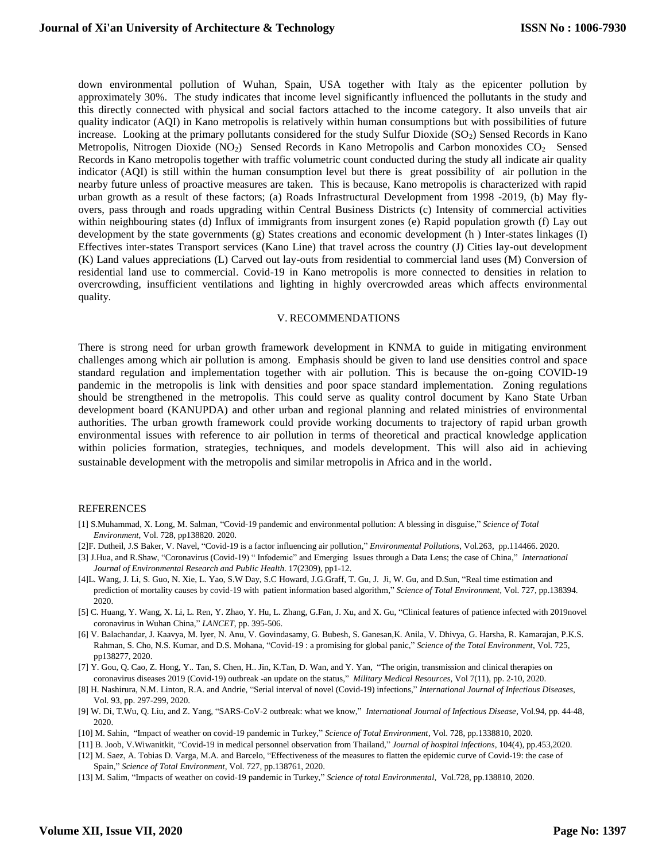down environmental pollution of Wuhan, Spain, USA together with Italy as the epicenter pollution by approximately 30%. The study indicates that income level significantly influenced the pollutants in the study and this directly connected with physical and social factors attached to the income category. It also unveils that air quality indicator (AQI) in Kano metropolis is relatively within human consumptions but with possibilities of future increase. Looking at the primary pollutants considered for the study Sulfur Dioxide  $(SO<sub>2</sub>)$  Sensed Records in Kano Metropolis, Nitrogen Dioxide (NO<sub>2</sub>) Sensed Records in Kano Metropolis and Carbon monoxides CO<sub>2</sub> Sensed Records in Kano metropolis together with traffic volumetric count conducted during the study all indicate air quality indicator (AQI) is still within the human consumption level but there is great possibility of air pollution in the nearby future unless of proactive measures are taken. This is because, Kano metropolis is characterized with rapid urban growth as a result of these factors; (a) Roads Infrastructural Development from 1998 -2019, (b) May flyovers, pass through and roads upgrading within Central Business Districts (c) Intensity of commercial activities within neighbouring states (d) Influx of immigrants from insurgent zones (e) Rapid population growth (f) Lay out development by the state governments (g) States creations and economic development (h ) Inter-states linkages (I) Effectives inter-states Transport services (Kano Line) that travel across the country (J) Cities lay-out development (K) Land values appreciations (L) Carved out lay-outs from residential to commercial land uses (M) Conversion of residential land use to commercial. Covid-19 in Kano metropolis is more connected to densities in relation to overcrowding, insufficient ventilations and lighting in highly overcrowded areas which affects environmental quality.

#### V. RECOMMENDATIONS

There is strong need for urban growth framework development in KNMA to guide in mitigating environment challenges among which air pollution is among. Emphasis should be given to land use densities control and space standard regulation and implementation together with air pollution. This is because the on-going COVID-19 pandemic in the metropolis is link with densities and poor space standard implementation. Zoning regulations should be strengthened in the metropolis. This could serve as quality control document by Kano State Urban development board (KANUPDA) and other urban and regional planning and related ministries of environmental authorities. The urban growth framework could provide working documents to trajectory of rapid urban growth environmental issues with reference to air pollution in terms of theoretical and practical knowledge application within policies formation, strategies, techniques, and models development. This will also aid in achieving sustainable development with the metropolis and similar metropolis in Africa and in the world.

#### REFERENCES

- [1] S.Muhammad, X. Long, M. Salman, "Covid-19 pandemic and environmental pollution: A blessing in disguise," *Science of Total Environment*, Vol. 728, pp138820. 2020.
- [2]F. Dutheil, J.S Baker, V. Navel, "Covid-19 is a factor influencing air pollution," *Environmental Pollutions*, Vol.263, pp.114466. 2020.
- [3] J.Hua, and R.Shaw, "Coronavirus (Covid-19) " Infodemic" and Emerging Issues through a Data Lens; the case of China," *International Journal of Environmental Research and Public Health*. 17(2309), pp1-12.
- [4]L. Wang, J. Li, S. Guo, N. Xie, L. Yao, S.W Day, S.C Howard, J.G.Graff, T. Gu, J. Ji, W. Gu, and D.Sun, "Real time estimation and prediction of mortality causes by covid-19 with patient information based algorithm," *Science of Total Environment,* Vol. 727, pp.138394. 2020.
- [5] C. Huang, Y. Wang, X. Li, L. Ren, Y. Zhao, Y. Hu, L. Zhang, G.Fan, J. Xu, and X. Gu, "Clinical features of patience infected with 2019novel coronavirus in Wuhan China," *LANCET*, pp. 395-506.
- [6] V. Balachandar, J. Kaavya, M. Iyer, N. Anu, V. Govindasamy, G. Bubesh, S. Ganesan,K. Anila, V. Dhivya, G. Harsha, R. Kamarajan, P.K.S. Rahman, S. Cho, N.S. Kumar, and D.S. Mohana, "Covid-19 : a promising for global panic," *Science of the Total Environment*, Vol. 725, pp138277, 2020.
- [7] Y. Gou, Q. Cao, Z. Hong, Y.. Tan, S. Chen, H.. Jin, K.Tan, D. Wan, and Y. Yan, "The origin, transmission and clinical therapies on coronavirus diseases 2019 (Covid-19) outbreak -an update on the status," *Military Medical Resources,* Vol 7(11), pp. 2-10, 2020.
- [8] H. Nashirura, N.M. Linton, R.A. and Andrie, "Serial interval of novel (Covid-19) infections," *International Journal of Infectious Diseases*, Vol. 93, pp. 297-299, 2020.
- [9] W. Di, T.Wu, Q. Liu, and Z. Yang, "SARS-CoV-2 outbreak: what we know," *International Journal of Infectious Disease,* Vol.94, pp. 44-48, 2020.
- [10] M. Sahin, "Impact of weather on covid-19 pandemic in Turkey," *Science of Total Environment*, Vol. 728, pp.1338810, 2020.
- [11] B. Joob, V.Wiwanitkit, "Covid-19 in medical personnel observation from Thailand," *Journal of hospital infections,* 104(4), pp.453,2020.
- [12] M. Saez, A. Tobias D. Varga, M.A. and Barcelo, "Effectiveness of the measures to flatten the epidemic curve of Covid-19: the case of Spain," *Science of Total Environment*, Vol. 727, pp.138761, 2020.
- [13] M. Salim, "Impacts of weather on covid-19 pandemic in Turkey," *Science of total Environmental*, Vol.728, pp.138810, 2020.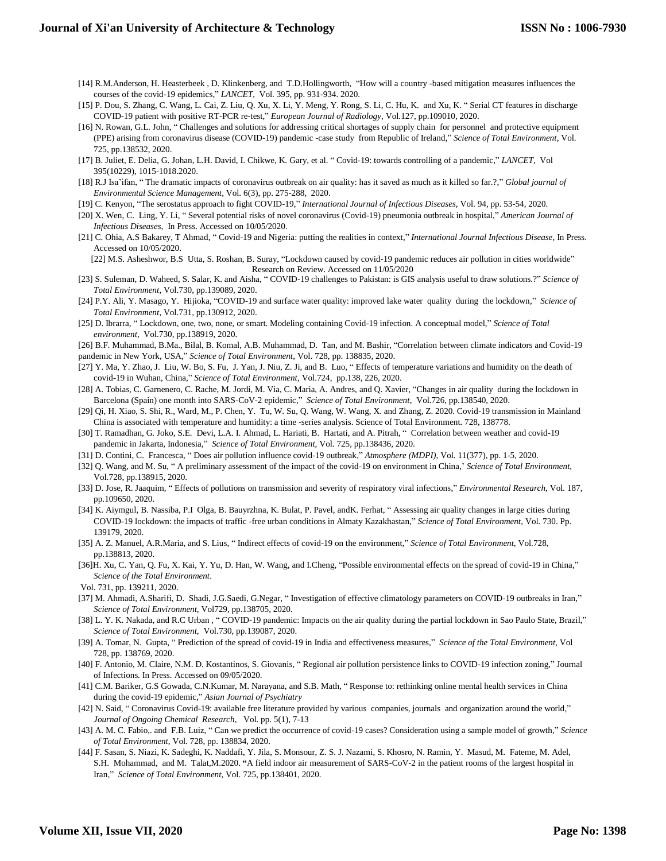- [14] R.M.Anderson, H. Heasterbeek , D. Klinkenberg, and T.D.Hollingworth, "How will a country -based mitigation measures influences the courses of the covid-19 epidemics," *LANCET*, Vol. 395, pp. 931-934. 2020.
- [15] P. Dou, S. Zhang, C. Wang, L. Cai, Z. Liu, Q. Xu, X. Li, Y. Meng, Y. Rong, S. Li, C. Hu, K. and Xu, K. " Serial CT features in discharge COVID-19 patient with positive RT-PCR re-test," *European Journal of Radiology*, Vol.127, pp.109010, 2020.
- [16] N. Rowan, G.L. John, " Challenges and solutions for addressing critical shortages of supply chain for personnel and protective equipment (PPE) arising from coronavirus disease (COVID-19) pandemic -case study from Republic of Ireland," *Science of Total Environment*, Vol. 725, pp.138532, 2020.
- [17] B. Juliet, E. Delia, G. Johan, L.H. David, I. Chikwe, K. Gary, et al. " Covid-19: towards controlling of a pandemic," *LANCET*, Vol 395(10229), 1015-1018.2020.
- [18] R.J Isa'ifan, " The dramatic impacts of coronavirus outbreak on air quality: has it saved as much as it killed so far.?," *Global journal of Environmental Science Management*, Vol. 6(3), pp. 275-288, 2020.
- [19] C. Kenyon, "The serostatus approach to fight COVID-19," *International Journal of Infectious Diseases,* Vol. 94, pp. 53-54, 2020.
- [20] X. Wen, C. Ling, Y. Li, " Several potential risks of novel coronavirus (Covid-19) pneumonia outbreak in hospital," *American Journal of Infectious Diseases*, In Press. Accessed on 10/05/2020.
- [21] C. Ohia, A.S Bakarey, T Ahmad, " Covid-19 and Nigeria: putting the realities in context," *International Journal Infectious Disease*, In Press. Accessed on 10/05/2020.

[22] M.S. Asheshwor, B.S Utta, S. Roshan, B. Suray, "Lockdown caused by covid-19 pandemic reduces air pollution in cities worldwide" Research on Review. Accessed on 11/05/2020

- [23] S. Suleman, D. Waheed, S. Salar, K. and Aisha, " COVID-19 challenges to Pakistan: is GIS analysis useful to draw solutions.?" *Science of Total Environment*, Vol.730, pp.139089, 2020.
- [24] P.Y. Ali, Y. Masago, Y. Hijioka, "COVID-19 and surface water quality: improved lake water quality during the lockdown," *Science of Total Environment*, Vol.731, pp.130912, 2020.
- [25] D. Ibrarra, " Lockdown, one, two, none, or smart. Modeling containing Covid-19 infection. A conceptual model," *Science of Total environment*, Vol.730, pp.138919, 2020.
- [26] B.F. Muhammad, B.Ma., Bilal, B. Komal, A.B. Muhammad, D. Tan, and M. Bashir, "Correlation between climate indicators and Covid-19
- pandemic in New York, USA," *Science of Total Environment*, Vol. 728, pp. 138835, 2020.
- [27] Y. Ma, Y. Zhao, J. Liu, W. Bo, S. Fu, J. Yan, J. Niu, Z. Ji, and B. Luo, "Effects of temperature variations and humidity on the death of covid-19 in Wuhan, China," *Science of Total Environment*, Vol.724, pp.138, 226, 2020.
- [28] A. Tobias, C. Garnenero, C. Rache, M. Jordi, M. Via, C. Maria, A. Andres, and Q. Xavier, "Changes in air quality during the lockdown in Barcelona (Spain) one month into SARS-CoV-2 epidemic," *Science of Total Environment*, Vol.726, pp.138540, 2020.
- [29] Qi, H. Xiao, S. Shi, R., Ward, M., P. Chen, Y. Tu, W. Su, Q. Wang, W. Wang, X. and Zhang, Z. 2020. Covid-19 transmission in Mainland China is associated with temperature and humidity: a time -series analysis. Science of Total Environment. 728, 138778.
- [30] T. Ramadhan, G. Joko, S.E. Devi, L.A. I. Ahmad, L. Hariati, B. Hartati, and A. Pitrah, " Correlation between weather and covid-19 pandemic in Jakarta, Indonesia," *Science of Total Environment,* Vol. 725, pp.138436, 2020.
- [31] D. Contini, C. Francesca, " Does air pollution influence covid-19 outbreak," *Atmosphere (MDPI)*, Vol. 11(377), pp. 1-5, 2020.
- [32] Q. Wang, and M. Su, " A preliminary assessment of the impact of the covid-19 on environment in China,' *Science of Total Environment*, Vol.728, pp.138915, 2020.
- [33] D. Jose, R. Jaaquim, " Effects of pollutions on transmission and severity of respiratory viral infections," *Environmental Research*, Vol. 187, pp.109650, 2020.
- [34] K. Aiymgul, B. Nassiba, P.I Olga, B. Bauyrzhna, K. Bulat, P. Pavel, andK. Ferhat, " Assessing air quality changes in large cities during COVID-19 lockdown: the impacts of traffic -free urban conditions in Almaty Kazakhastan," *Science of Total Environment*, Vol. 730. Pp. 139179, 2020.
- [35] A. Z. Manuel, A.R.Maria, and S. Lius, " Indirect effects of covid-19 on the environment," *Science of Total Environment*, Vol.728, pp.138813, 2020.
- [36]H. Xu, C. Yan, Q. Fu, X. Kai, Y. Yu, D. Han, W. Wang, and I.Cheng, "Possible environmental effects on the spread of covid-19 in China," *Science of the Total Environment*.
- Vol. 731, pp. 139211, 2020.
- [37] M. Ahmadi, A.Sharifi, D. Shadi, J.G.Saedi, G.Negar, " Investigation of effective climatology parameters on COVID-19 outbreaks in Iran," *Science of Total Environment*, Vol729, pp.138705, 2020.
- [38] L. Y. K. Nakada, and R.C Urban , " COVID-19 pandemic: Impacts on the air quality during the partial lockdown in Sao Paulo State, Brazil," *Science of Total Environment*, Vol.730, pp.139087, 2020.
- [39] A. Tomar, N. Gupta, " Prediction of the spread of covid-19 in India and effectiveness measures," *Science of the Total Environment*, Vol 728, pp. 138769, 2020.
- [40] F. Antonio, M. Claire, N.M. D. Kostantinos, S. Giovanis, " Regional air pollution persistence links to COVID-19 infection zoning," Journal of Infections. In Press. Accessed on 09/05/2020.
- [41] C.M. Bariker, G.S Gowada, C.N.Kumar, M. Narayana, and S.B. Math, " Response to: rethinking online mental health services in China during the covid-19 epidemic," *Asian Journal of Psychiatry*
- [42] N. Said, " Coronavirus Covid-19: available free literature provided by various companies, journals and organization around the world," *Journal of Ongoing Chemical Research*, Vol. pp. 5(1), 7-13
- [43] A. M. C. Fabio,. and F.B. Luiz, " Can we predict the occurrence of covid-19 cases? Consideration using a sample model of growth," *Science of Total Environment*, Vol. 728, pp. 138834, 2020.
- [44] F. Sasan, S. Niazi, K. Sadeghi, K. Naddafi, Y. Jila, S. Monsour, Z. S. J. Nazami, S. Khosro, N. Ramin, Y. Masud, M. Fateme, M. Adel, S.H. Mohammad, and M. Talat,M.2020. **"**A field indoor air measurement of SARS-CoV-2 in the patient rooms of the largest hospital in Iran," *Science of Total Environment,* Vol. 725, pp.138401, 2020.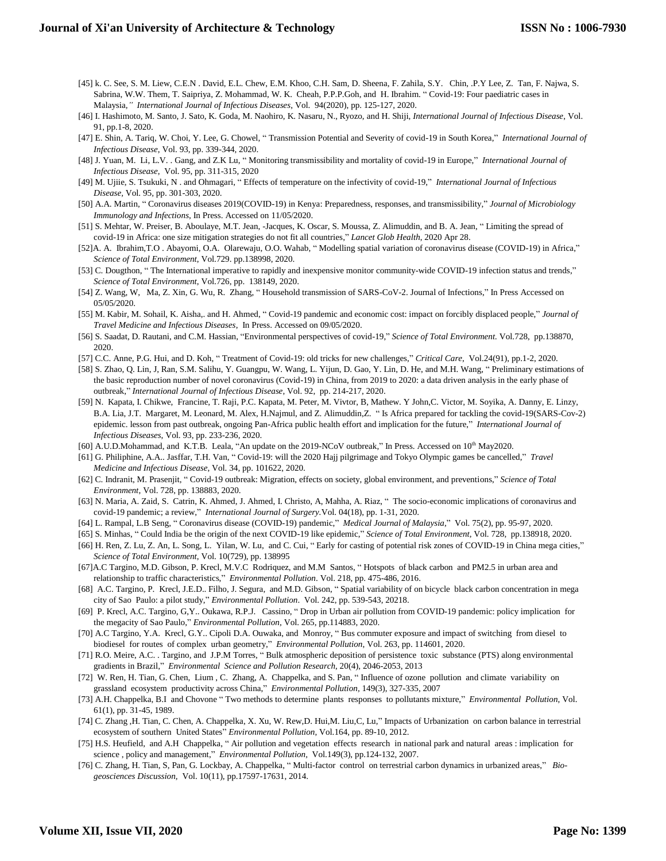- [45] k. C. See, S. M. Liew, C.E.N . David, E.L. Chew, E.M. Khoo, C.H. Sam, D. Sheena, F. Zahila, S.Y. Chin, .P.Y Lee, Z. Tan, F. Najwa, S. Sabrina, W.W. Them, T. Saipriya, Z. Mohammad, W. K. Cheah, P.P.P.Goh, and H. Ibrahim. " Covid-19: Four paediatric cases in Malaysia*," International Journal of Infectious Diseases*, Vol. 94(2020), pp. 125-127, 2020.
- [46] I. Hashimoto, M. Santo, J. Sato, K. Goda, M. Naohiro, K. Nasaru, N., Ryozo, and H. Shiji, *International Journal of Infectious Disease*, Vol. 91, pp.1-8, 2020.
- [47] E. Shin, A. Tariq, W. Choi, Y. Lee, G. Chowel, " Transmission Potential and Severity of covid-19 in South Korea," *International Journal of Infectious Disease*, Vol. 93, pp. 339-344, 2020.
- [48] J. Yuan, M. Li, L.V. . Gang, and Z.K Lu, " Monitoring transmissibility and mortality of covid-19 in Europe," *International Journal of Infectious Disease*, Vol. 95, pp. 311-315, 2020
- [49] M. Ujiie, S. Tsukuki, N . and Ohmagari, " Effects of temperature on the infectivity of covid-19," *International Journal of Infectious Disease,* Vol. 95*,* pp. 301-303, 2020.
- [50] A.A. Martin, " Coronavirus diseases 2019(COVID-19) in Kenya: Preparedness, responses, and transmissibility," *Journal of Microbiology Immunology and Infections*, In Press. Accessed on 11/05/2020.
- [51] S. Mehtar, W. Preiser, B. Aboulaye, M.T. Jean, -Jacques, K. Oscar, S. Moussa, Z. Alimuddin, and B. A. Jean, " Limiting the spread of covid-19 in Africa: one size mitigation strategies do not fit all countries," *Lancet Glob Health*, 2020 Apr 28.
- [52]A. A. Ibrahim,T.O . Abayomi, O.A. Olarewaju, O.O. Wahab, " Modelling spatial variation of coronavirus disease (COVID-19) in Africa," *Science of Total Environment*, Vol.729. pp.138998, 2020.
- [53] C. Dougthon, " The International imperative to rapidly and inexpensive monitor community-wide COVID-19 infection status and trends," *Science of Total Environment*, Vol.726, pp. 138149, 2020.
- [54] Z. Wang, W, Ma, Z. Xin, G. Wu, R. Zhang, " Household transmission of SARS-CoV-2. Journal of Infections," In Press Accessed on 05/05/2020.
- [55] M. Kabir, M. Sohail, K. Aisha,. and H. Ahmed, " Covid-19 pandemic and economic cost: impact on forcibly displaced people," *Journal of Travel Medicine and Infectious Diseases*, In Press. Accessed on 09/05/2020.
- [56] S. Saadat, D. Rautani, and C.M. Hassian, "Environmental perspectives of covid-19," *Science of Total Environment.* Vol.728, pp.138870, 2020.
- [57] C.C. Anne, P.G. Hui, and D. Koh, " Treatment of Covid-19: old tricks for new challenges," *Critical Care*, Vol.24(91), pp.1-2, 2020.
- [58] S. Zhao, Q. Lin, J, Ran, S.M. Salihu, Y. Guangpu, W. Wang, L. Yijun, D. Gao, Y. Lin, D. He, and M.H. Wang, " Preliminary estimations of the basic reproduction number of novel coronavirus (Covid-19) in China, from 2019 to 2020: a data driven analysis in the early phase of outbreak," *International Journal of Infectious Disease*, Vol. 92, pp. 214-217, 2020.
- [59] N. Kapata, I. Chikwe, Francine, T. Raji, P.C. Kapata, M. Peter, M. Vivtor, B, Mathew. Y John,C. Victor, M. Soyika, A. Danny, E. Linzy, B.A. Lia, J.T. Margaret, M. Leonard, M. Alex, H.Najmul, and Z. Alimuddin,Z. " Is Africa prepared for tackling the covid-19(SARS-Cov-2) epidemic. lesson from past outbreak, ongoing Pan-Africa public health effort and implication for the future," *International Journal of Infectious Diseases*, Vol. 93, pp. 233-236, 2020.
- [60] A.U.D.Mohammad, and K.T.B. Leala, "An update on the 2019-NCoV outbreak," In Press. Accessed on 10<sup>th</sup> May2020.
- [61] G. Philiphine, A.A.. Jasffar, T.H. Van, " Covid-19: will the 2020 Hajj pilgrimage and Tokyo Olympic games be cancelled," *Travel Medicine and Infectious Disease*, Vol. 34, pp. 101622, 2020.
- [62] C. Indranit, M. Prasenjit, " Covid-19 outbreak: Migration, effects on society, global environment, and preventions," *Science of Total Environment*, Vol. 728, pp. 138883, 2020.
- [63] N. Maria, A. Zaid, S. Catrin, K. Ahmed, J. Ahmed, I. Christo, A, Mahha, A. Riaz, " The socio-economic implications of coronavirus and covid-19 pandemic; a review," *International Journal of Surgery.*Vol. 04(18), pp. 1-31, 2020.
- [64] L. Rampal, L.B Seng, " Coronavirus disease (COVID-19) pandemic," *Medical Journal of Malaysia*," Vol. 75(2), pp. 95-97, 2020.
- [65] S. Minhas, " Could India be the origin of the next COVID-19 like epidemic," *Science of Total Environment*, Vol. 728, pp.138918, 2020.
- [66] H. Ren, Z. Lu, Z. An, L. Song, L. Yilan, W. Lu, and C. Cui, " Early for casting of potential risk zones of COVID-19 in China mega cities," *Science of Total Environment*, Vol. 10(729), pp. 138995
- [67]A.C Targino, M.D. Gibson, P. Krecl, M.V.C Rodriquez, and M.M Santos, " Hotspots of black carbon and PM2.5 in urban area and relationship to traffic characteristics," *Environmental Pollution*. Vol. 218, pp. 475-486, 2016.
- [68] A.C. Targino, P. Krecl, J.E.D.. Filho, J. Segura, and M.D. Gibson, " Spatial variability of on bicycle black carbon concentration in mega city of Sao Paulo: a pilot study," *Environmental Pollution*. Vol. 242, pp. 539-543, 20218.
- [69] P. Krecl, A.C. Targino, G,Y.. Oukawa, R.P.J. Cassino, " Drop in Urban air pollution from COVID-19 pandemic: policy implication for the megacity of Sao Paulo," *Environmental Pollution,* Vol. 265, pp.114883, 2020.
- [70] A.C Targino, Y.A. Krecl, G.Y.. Cipoli D.A. Ouwaka, and Monroy, " Bus commuter exposure and impact of switching from diesel to biodiesel for routes of complex urban geometry," *Environmental Pollution*, Vol. 263, pp. 114601, 2020.
- [71] R.O. Meire, A.C. . Targino, and J.P.M Torres, " Bulk atmospheric deposition of persistence toxic substance (PTS) along environmental gradients in Brazil," *Environmental Science and Pollution Research*, 20(4), 2046-2053, 2013
- [72] W. Ren, H. Tian, G. Chen, Lium , C. Zhang, A. Chappelka, and S. Pan, " Influence of ozone pollution and climate variability on grassland ecosystem productivity across China," *Environmental Pollution,* 149(3), 327-335, 2007
- [73] A.H. Chappelka, B.I and Chovone " Two methods to determine plants responses to pollutants mixture," *Environmental Pollution*, Vol. 61(1), pp. 31-45, 1989.
- [74] C. Zhang ,H. Tian, C. Chen, A. Chappelka, X. Xu, W. Rew,D. Hui,M. Liu,C, Lu," Impacts of Urbanization on carbon balance in terrestrial ecosystem of southern United States" *Environmental Pollution*, Vol.164, pp. 89-10, 2012.
- [75] H.S. Heufield, and A.H Chappelka, " Air pollution and vegetation effects research in national park and natural areas : implication for science , policy and management," *Environmental Pollution,* Vol.149(3), pp.124-132, 2007.
- [76] C. Zhang, H. Tian, S, Pan, G. Lockbay, A. Chappelka, " Multi-factor control on terrestrial carbon dynamics in urbanized areas," *Biogeosciences Discussion,* Vol. 10(11), pp.17597-17631, 2014.